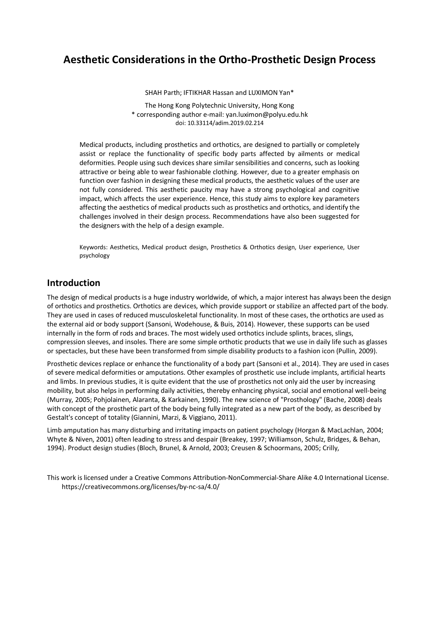# **Aesthetic Considerations in the Ortho-Prosthetic Design Process**

SHAH Parth; IFTIKHAR Hassan and LUXIMON Yan\* The Hong Kong Polytechnic University, Hong Kong \* corresponding author e-mail: [yan.luximon@polyu.edu.hk](mailto:yan.luximon@polyu.edu.hk) doi: 10.33114/adim.2019.02.214

Medical products, including prosthetics and orthotics, are designed to partially or completely assist or replace the functionality of specific body parts affected by ailments or medical deformities. People using such devices share similar sensibilities and concerns, such as looking attractive or being able to wear fashionable clothing. However, due to a greater emphasis on function over fashion in designing these medical products, the aesthetic values of the user are not fully considered. This aesthetic paucity may have a strong psychological and cognitive impact, which affects the user experience. Hence, this study aims to explore key parameters affecting the aesthetics of medical products such as prosthetics and orthotics, and identify the challenges involved in their design process. Recommendations have also been suggested for the designers with the help of a design example.

Keywords: Aesthetics, Medical product design, Prosthetics & Orthotics design, User experience, User psychology

## **Introduction**

The design of medical products is a huge industry worldwide, of which, a major interest has always been the design of orthotics and prosthetics. Orthotics are devices, which provide support or stabilize an affected part of the body. They are used in cases of reduced musculoskeletal functionality. In most of these cases, the orthotics are used as the external aid or body support (Sansoni, Wodehouse, & Buis, 2014). However, these supports can be used internally in the form of rods and braces. The most widely used orthotics include splints, braces, slings, compression sleeves, and insoles. There are some simple orthotic products that we use in daily life such as glasses or spectacles, but these have been transformed from simple disability products to a fashion icon (Pullin, 2009).

Prosthetic devices replace or enhance the functionality of a body part (Sansoni et al., 2014). They are used in cases of severe medical deformities or amputations. Other examples of prosthetic use include implants, artificial hearts and limbs. In previous studies, it is quite evident that the use of prosthetics not only aid the user by increasing mobility, but also helps in performing daily activities, thereby enhancing physical, social and emotional well-being (Murray, 2005; Pohjolainen, Alaranta, & Karkainen, 1990). The new science of "Prosthology" (Bache, 2008) deals with concept of the prosthetic part of the body being fully integrated as a new part of the body, as described by Gestalt's concept of totality (Giannini, Marzi, & Viggiano, 2011).

Limb amputation has many disturbing and irritating impacts on patient psychology (Horgan & MacLachlan, 2004; Whyte & Niven, 2001) often leading to stress and despair (Breakey, 1997; Williamson, Schulz, Bridges, & Behan, 1994). Product design studies (Bloch, Brunel, & Arnold, 2003; Creusen & Schoormans, 2005; Crilly,

This work is licensed under a [Creative Commons Attribution-NonCommercial-Share Alike 4.0 International License.](http://creativecommons.org/licenses/by-nc-sa/4.0/) <https://creativecommons.org/licenses/by-nc-sa/4.0/>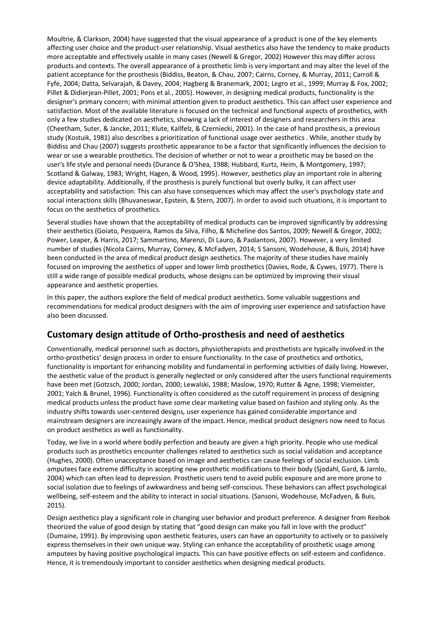Moultrie, & Clarkson, 2004) have suggested that the visual appearance of a product is one of the key elements affecting user choice and the product-user relationship. Visual aesthetics also have the tendency to make products more acceptable and effectively usable in many cases (Newell & Gregor, 2002) However this may differ across products and contexts. The overall appearance of a prosthetic limb is very important and may alter the level of the patient acceptance for the prosthesis (Biddiss, Beaton, & Chau, 2007; Cairns, Corney, & Murray, 2011; Carroll & Fyfe, 2004; Datta, Selvarajah, & Davey, 2004; Hagberg & Branemark, 2001; Legro et al., 1999; Murray & Fox, 2002; Pillet & Didierjean-Pillet, 2001; Pons et al., 2005). However, in designing medical products, functionality is the designer's primary concern; with minimal attention given to product aesthetics. This can affect user experience and satisfaction. Most of the available literature is focused on the technical and functional aspects of prosthetics, with only a few studies dedicated on aesthetics, showing a lack of interest of designers and researchers in this area (Cheetham, Suter, & Jancke, 2011; Klute, Kallfelz, & Czerniecki, 2001). In the case of hand prosthesis, a previous study (Kostuik, 1981) also describes a prioritization of functional usage over aesthetics . While, another study by Biddiss and Chau (2007) suggests prosthetic appearance to be a factor that significantly influences the decision to wear or use a wearable prosthetics. The decision of whether or not to wear a prosthetic may be based on the user's life style and personal needs (Durance & O'Shea, 1988; Hubbard, Kurtz, Heim, & Montgomery, 1997; Scotland & Galway, 1983; Wright, Hagen, & Wood, 1995). However, aesthetics play an important role in altering device adaptability. Additionally, if the prosthesis is purely functional but overly bulky, it can affect user acceptability and satisfaction. This can also have consequences which may affect the user's psychology state and social interactions skills (Bhuvaneswar, Epstein, & Stern, 2007). In order to avoid such situations, it is important to focus on the aesthetics of prosthetics.

Several studies have shown that the acceptability of medical products can be improved significantly by addressing their aesthetics (Goiato, Pesqueira, Ramos da Silva, Filho, & Micheline dos Santos, 2009; Newell & Gregor, 2002; Power, Leaper, & Harris, 2017; Sammartino, Marenzi, Di Lauro, & Paolantoni, 2007). However, a very limited number of studies (Nicola Cairns, Murray, Corney, & McFadyen, 2014; S Sansoni, Wodehouse, & Buis, 2014) have been conducted in the area of medical product design aesthetics. The majority of these studies have mainly focused on improving the aesthetics of upper and lower limb prosthetics (Davies, Rode, & Cywes, 1977). There is still a wide range of possible medical products, whose designs can be optimized by improving their visual appearance and aesthetic properties.

In this paper, the authors explore the field of medical product aesthetics. Some valuable suggestions and recommendations for medical product designers with the aim of improving user experience and satisfaction have also been discussed.

# **Customary design attitude of Ortho-prosthesis and need of aesthetics**

Conventionally, medical personnel such as doctors, physiotherapists and prosthetists are typically involved in the ortho-prosthetics' design process in order to ensure functionality. In the case of prosthetics and orthotics, functionality is important for enhancing mobility and fundamental in performing activities of daily living. However, the aesthetic value of the product is generally neglected or only considered after the users functional requirements have been met (Gotzsch, 2000; Jordan, 2000; Lewalski, 1988; Maslow, 1970; Rutter & Agne, 1998; Viemeister, 2001; Yalch & Brunel, 1996). Functionality is often considered as the cutoff requirement in process of designing medical products unless the product have some clear marketing value based on fashion and styling only. As the industry shifts towards user-centered designs, user experience has gained considerable importance and mainstream designers are increasingly aware of the impact. Hence, medical product designers now need to focus on product aesthetics as well as functionality.

Today, we live in a world where bodily perfection and beauty are given a high priority. People who use medical products such as prosthetics encounter challenges related to aesthetics such as social validation and acceptance (Hughes, 2000). Often unacceptance based on image and aesthetics can cause feelings of social exclusion. Limb amputees face extreme difficulty in accepting new prosthetic modifications to their body (Sjodahl, Gard, & Jarnlo, 2004) which can often lead to depression. Prosthetic users tend to avoid public exposure and are more prone to social isolation due to feelings of awkwardness and being self-conscious. These behaviors can affect psychological wellbeing, self-esteem and the ability to interact in social situations. (Sansoni, Wodehouse, McFadyen, & Buis, 2015).

Design aesthetics play a significant role in changing user behavior and product preference. A designer from Reebok theorized the value of good design by stating that "good design can make you fall in love with the product" (Dumaine, 1991). By improvising upon aesthetic features, users can have an opportunity to actively or to passively express themselves in their own unique way. Styling can enhance the acceptability of prosthetic usage among amputees by having positive psychological impacts. This can have positive effects on self-esteem and confidence. Hence, it is tremendously important to consider aesthetics when designing medical products.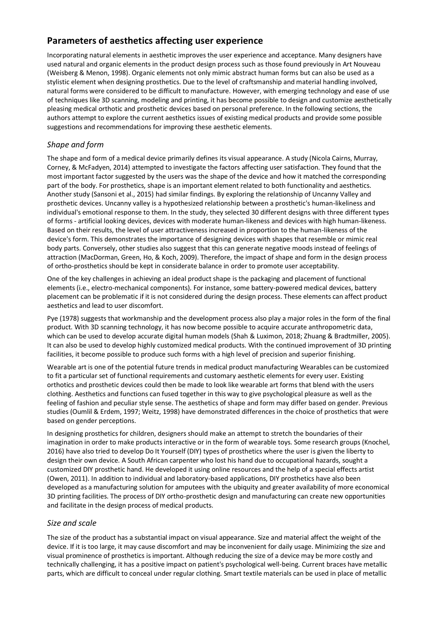# **Parameters of aesthetics affecting user experience**

Incorporating natural elements in aesthetic improves the user experience and acceptance. Many designers have used natural and organic elements in the product design process such as those found previously in Art Nouveau (Weisberg & Menon, 1998). Organic elements not only mimic abstract human forms but can also be used as a stylistic element when designing prosthetics. Due to the level of craftsmanship and material handling involved, natural forms were considered to be difficult to manufacture. However, with emerging technology and ease of use of techniques like 3D scanning, modeling and printing, it has become possible to design and customize aesthetically pleasing medical orthotic and prosthetic devices based on personal preference. In the following sections, the authors attempt to explore the current aesthetics issues of existing medical products and provide some possible suggestions and recommendations for improving these aesthetic elements.

## *Shape and form*

The shape and form of a medical device primarily defines its visual appearance. A study (Nicola Cairns, Murray, Corney, & McFadyen, 2014) attempted to investigate the factors affecting user satisfaction. They found that the most important factor suggested by the users was the shape of the device and how it matched the corresponding part of the body. For prosthetics, shape is an important element related to both functionality and aesthetics. Another study (Sansoni et al., 2015) had similar findings. By exploring the relationship of Uncanny Valley and prosthetic devices. Uncanny valley is a hypothesized relationship between a prosthetic's human-likeliness and individual's emotional response to them. In the study, they selected 30 different designs with three different types of forms - artificial looking devices, devices with moderate human-likeness and devices with high human-likeness. Based on their results, the level of user attractiveness increased in proportion to the human-likeness of the device's form. This demonstrates the importance of designing devices with shapes that resemble or mimic real body parts. Conversely, other studies also suggest that this can generate negative moods instead of feelings of attraction (MacDorman, Green, Ho, & Koch, 2009). Therefore, the impact of shape and form in the design process of ortho-prosthetics should be kept in considerate balance in order to promote user acceptability.

One of the key challenges in achieving an ideal product shape is the packaging and placement of functional elements (i.e., electro-mechanical components). For instance, some battery-powered medical devices, battery placement can be problematic if it is not considered during the design process. These elements can affect product aesthetics and lead to user discomfort.

Pye (1978) suggests that workmanship and the development process also play a major roles in the form of the final product. With 3D scanning technology, it has now become possible to acquire accurate anthropometric data, which can be used to develop accurate digital human models (Shah & Luximon, 2018; Zhuang & Bradtmiller, 2005). It can also be used to develop highly customized medical products. With the continued improvement of 3D printing facilities, it become possible to produce such forms with a high level of precision and superior finishing.

Wearable art is one of the potential future trends in medical product manufacturing Wearables can be customized to fit a particular set of functional requirements and customary aesthetic elements for every user. Existing orthotics and prosthetic devices could then be made to look like wearable art forms that blend with the users clothing. Aesthetics and functions can fused together in this way to give psychological pleasure as well as the feeling of fashion and peculiar style sense. The aesthetics of shape and form may differ based on gender. Previous studies (Oumlil & Erdem, 1997; Weitz, 1998) have demonstrated differences in the choice of prosthetics that were based on gender perceptions.

In designing prosthetics for children, designers should make an attempt to stretch the boundaries of their imagination in order to make products interactive or in the form of wearable toys. Some research groups (Knochel, 2016) have also tried to develop Do It Yourself (DIY) types of prosthetics where the user is given the liberty to design their own device. A South African carpenter who lost his hand due to occupational hazards, sought a customized DIY prosthetic hand. He developed it using online resources and the help of a special effects artist (Owen, 2011). In addition to individual and laboratory-based applications, DIY prosthetics have also been developed as a manufacturing solution for amputees with the ubiquity and greater availability of more economical 3D printing facilities. The process of DIY ortho-prosthetic design and manufacturing can create new opportunities and facilitate in the design process of medical products.

## *Size and scale*

The size of the product has a substantial impact on visual appearance. Size and material affect the weight of the device. If it is too large, it may cause discomfort and may be inconvenient for daily usage. Minimizing the size and visual prominence of prosthetics is important. Although reducing the size of a device may be more costly and technically challenging, it has a positive impact on patient's psychological well-being. Current braces have metallic parts, which are difficult to conceal under regular clothing. Smart textile materials can be used in place of metallic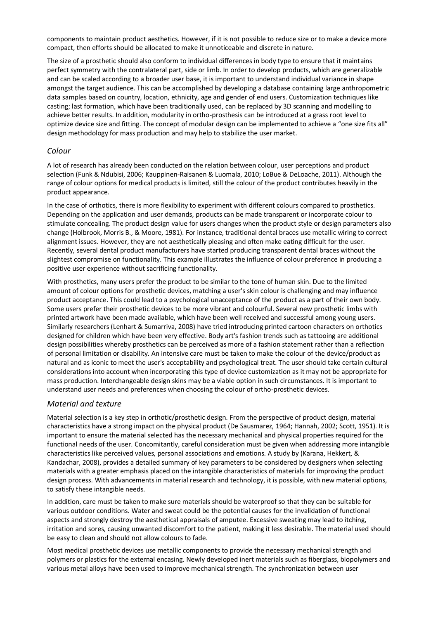components to maintain product aesthetics. However, if it is not possible to reduce size or to make a device more compact, then efforts should be allocated to make it unnoticeable and discrete in nature.

The size of a prosthetic should also conform to individual differences in body type to ensure that it maintains perfect symmetry with the contralateral part, side or limb. In order to develop products, which are generalizable and can be scaled according to a broader user base, it is important to understand individual variance in shape amongst the target audience. This can be accomplished by developing a database containing large anthropometric data samples based on country, location, ethnicity, age and gender of end users. Customization techniques like casting; last formation, which have been traditionally used, can be replaced by 3D scanning and modelling to achieve better results. In addition, modularity in ortho-prosthesis can be introduced at a grass root level to optimize device size and fitting. The concept of modular design can be implemented to achieve a "one size fits all" design methodology for mass production and may help to stabilize the user market.

#### *Colour*

A lot of research has already been conducted on the relation between colour, user perceptions and product selection (Funk & Ndubisi, 2006; Kauppinen-Raisanen & Luomala, 2010; LoBue & DeLoache, 2011). Although the range of colour options for medical products is limited, still the colour of the product contributes heavily in the product appearance.

In the case of orthotics, there is more flexibility to experiment with different colours compared to prosthetics. Depending on the application and user demands, products can be made transparent or incorporate colour to stimulate concealing. The product design value for users changes when the product style or design parameters also change (Holbrook, Morris B., & Moore, 1981). For instance, traditional dental braces use metallic wiring to correct alignment issues. However, they are not aesthetically pleasing and often make eating difficult for the user. Recently, several dental product manufacturers have started producing transparent dental braces without the slightest compromise on functionality. This example illustrates the influence of colour preference in producing a positive user experience without sacrificing functionality.

With prosthetics, many users prefer the product to be similar to the tone of human skin. Due to the limited amount of colour options for prosthetic devices, matching a user's skin colour is challenging and may influence product acceptance. This could lead to a psychological unacceptance of the product as a part of their own body. Some users prefer their prosthetic devices to be more vibrant and colourful. Several new prosthetic limbs with printed artwork have been made available, which have been well received and successful among young users. Similarly researchers (Lenhart & Sumarriva, 2008) have tried introducing printed cartoon characters on orthotics designed for children which have been very effective. Body art's fashion trends such as tattooing are additional design possibilities whereby prosthetics can be perceived as more of a fashion statement rather than a reflection of personal limitation or disability. An intensive care must be taken to make the colour of the device/product as natural and as iconic to meet the user's acceptability and psychological treat. The user should take certain cultural considerations into account when incorporating this type of device customization as it may not be appropriate for mass production. Interchangeable design skins may be a viable option in such circumstances. It is important to understand user needs and preferences when choosing the colour of ortho-prosthetic devices.

#### *Material and texture*

Material selection is a key step in orthotic/prosthetic design. From the perspective of product design, material characteristics have a strong impact on the physical product (De Sausmarez, 1964; Hannah, 2002; Scott, 1951). It is important to ensure the material selected has the necessary mechanical and physical properties required for the functional needs of the user. Concomitantly, careful consideration must be given when addressing more intangible characteristics like perceived values, personal associations and emotions. A study by (Karana, Hekkert, & Kandachar, 2008), provides a detailed summary of key parameters to be considered by designers when selecting materials with a greater emphasis placed on the intangible characteristics of materials for improving the product design process. With advancements in material research and technology, it is possible, with new material options, to satisfy these intangible needs.

In addition, care must be taken to make sure materials should be waterproof so that they can be suitable for various outdoor conditions. Water and sweat could be the potential causes for the invalidation of functional aspects and strongly destroy the aesthetical appraisals of amputee. Excessive sweating may lead to itching, irritation and sores, causing unwanted discomfort to the patient, making it less desirable. The material used should be easy to clean and should not allow colours to fade.

Most medical prosthetic devices use metallic components to provide the necessary mechanical strength and polymers or plastics for the external encasing. Newly developed inert materials such as fiberglass, biopolymers and various metal alloys have been used to improve mechanical strength. The synchronization between user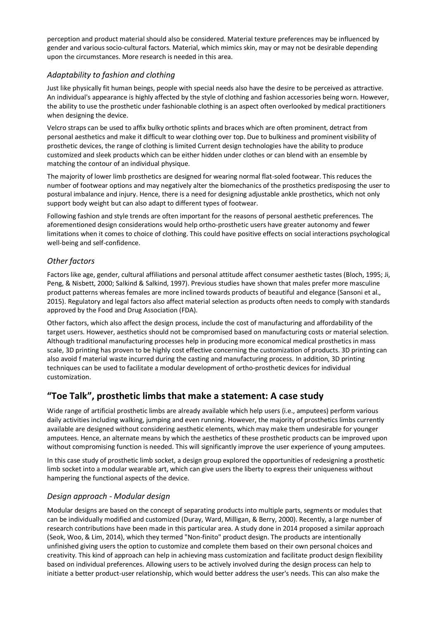perception and product material should also be considered. Material texture preferences may be influenced by gender and various socio-cultural factors. Material, which mimics skin, may or may not be desirable depending upon the circumstances. More research is needed in this area.

#### *Adaptability to fashion and clothing*

Just like physically fit human beings, people with special needs also have the desire to be perceived as attractive. An individual's appearance is highly affected by the style of clothing and fashion accessories being worn. However, the ability to use the prosthetic under fashionable clothing is an aspect often overlooked by medical practitioners when designing the device.

Velcro straps can be used to affix bulky orthotic splints and braces which are often prominent, detract from personal aesthetics and make it difficult to wear clothing over top. Due to bulkiness and prominent visibility of prosthetic devices, the range of clothing is limited Current design technologies have the ability to produce customized and sleek products which can be either hidden under clothes or can blend with an ensemble by matching the contour of an individual physique.

The majority of lower limb prosthetics are designed for wearing normal flat-soled footwear. This reduces the number of footwear options and may negatively alter the biomechanics of the prosthetics predisposing the user to postural imbalance and injury. Hence, there is a need for designing adjustable ankle prosthetics, which not only support body weight but can also adapt to different types of footwear.

Following fashion and style trends are often important for the reasons of personal aesthetic preferences. The aforementioned design considerations would help ortho-prosthetic users have greater autonomy and fewer limitations when it comes to choice of clothing. This could have positive effects on social interactions psychological well-being and self-confidence.

### *Other factors*

Factors like age, gender, cultural affiliations and personal attitude affect consumer aesthetic tastes (Bloch, 1995; Ji, Peng, & Nisbett, 2000; Salkind & Salkind, 1997). Previous studies have shown that males prefer more masculine product patterns whereas females are more inclined towards products of beautiful and elegance (Sansoni et al., 2015). Regulatory and legal factors also affect material selection as products often needs to comply with standards approved by the Food and Drug Association (FDA).

Other factors, which also affect the design process, include the cost of manufacturing and affordability of the target users. However, aesthetics should not be compromised based on manufacturing costs or material selection. Although traditional manufacturing processes help in producing more economical medical prosthetics in mass scale, 3D printing has proven to be highly cost effective concerning the customization of products. 3D printing can also avoid f material waste incurred during the casting and manufacturing process. In addition, 3D printing techniques can be used to facilitate a modular development of ortho-prosthetic devices for individual customization.

# **"Toe Talk", prosthetic limbs that make a statement: A case study**

Wide range of artificial prosthetic limbs are already available which help users (i.e., amputees) perform various daily activities including walking, jumping and even running. However, the majority of prosthetics limbs currently available are designed without considering aesthetic elements, which may make them undesirable for younger amputees. Hence, an alternate means by which the aesthetics of these prosthetic products can be improved upon without compromising function is needed. This will significantly improve the user experience of young amputees.

In this case study of prosthetic limb socket, a design group explored the opportunities of redesigning a prosthetic limb socket into a modular wearable art, which can give users the liberty to express their uniqueness without hampering the functional aspects of the device.

## *Design approach - Modular design*

Modular designs are based on the concept of separating products into multiple parts, segments or modules that can be individually modified and customized (Duray, Ward, Milligan, & Berry, 2000). Recently, a large number of research contributions have been made in this particular area. A study done in 2014 proposed a similar approach (Seok, Woo, & Lim, 2014), which they termed "Non-finito" product design. The products are intentionally unfinished giving users the option to customize and complete them based on their own personal choices and creativity. This kind of approach can help in achieving mass customization and facilitate product design flexibility based on individual preferences. Allowing users to be actively involved during the design process can help to initiate a better product-user relationship, which would better address the user's needs. This can also make the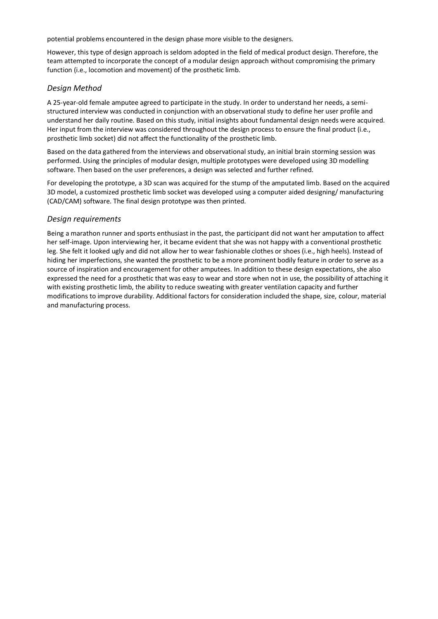potential problems encountered in the design phase more visible to the designers.

However, this type of design approach is seldom adopted in the field of medical product design. Therefore, the team attempted to incorporate the concept of a modular design approach without compromising the primary function (i.e., locomotion and movement) of the prosthetic limb.

#### *Design Method*

A 25-year-old female amputee agreed to participate in the study. In order to understand her needs, a semistructured interview was conducted in conjunction with an observational study to define her user profile and understand her daily routine. Based on this study, initial insights about fundamental design needs were acquired. Her input from the interview was considered throughout the design process to ensure the final product (i.e., prosthetic limb socket) did not affect the functionality of the prosthetic limb.

Based on the data gathered from the interviews and observational study, an initial brain storming session was performed. Using the principles of modular design, multiple prototypes were developed using 3D modelling software. Then based on the user preferences, a design was selected and further refined.

For developing the prototype, a 3D scan was acquired for the stump of the amputated limb. Based on the acquired 3D model, a customized prosthetic limb socket was developed using a computer aided designing/ manufacturing (CAD/CAM) software. The final design prototype was then printed.

#### *Design requirements*

Being a marathon runner and sports enthusiast in the past, the participant did not want her amputation to affect her self-image. Upon interviewing her, it became evident that she was not happy with a conventional prosthetic leg. She felt it looked ugly and did not allow her to wear fashionable clothes or shoes (i.e., high heels). Instead of hiding her imperfections, she wanted the prosthetic to be a more prominent bodily feature in order to serve as a source of inspiration and encouragement for other amputees. In addition to these design expectations, she also expressed the need for a prosthetic that was easy to wear and store when not in use, the possibility of attaching it with existing prosthetic limb, the ability to reduce sweating with greater ventilation capacity and further modifications to improve durability. Additional factors for consideration included the shape, size, colour, material and manufacturing process.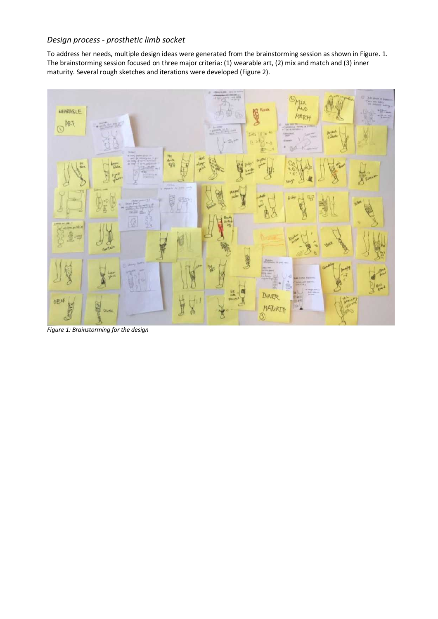#### *Design process - prosthetic limb socket*

To address her needs, multiple design ideas were generated from the brainstorming session as shown in Figure. 1. The brainstorming session focused on three major criteria: (1) wearable art, (2) mix and match and (3) inner maturity. Several rough sketches and iterations were developed (Figure 2).



*Figure 1: Brainstorming for the design*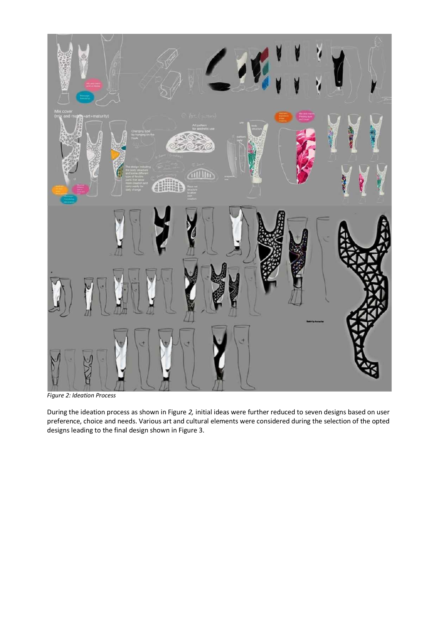

*Figure 2: Ideation Process*

During the ideation process as shown in Figure *2,* initial ideas were further reduced to seven designs based on user preference, choice and needs. Various art and cultural elements were considered during the selection of the opted designs leading to the final design shown in Figure 3.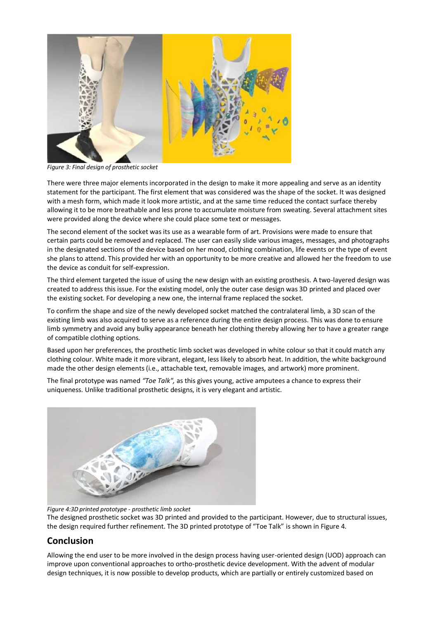

*Figure 3: Final design of prosthetic socket*

There were three major elements incorporated in the design to make it more appealing and serve as an identity statement for the participant. The first element that was considered was the shape of the socket. It was designed with a mesh form, which made it look more artistic, and at the same time reduced the contact surface thereby allowing it to be more breathable and less prone to accumulate moisture from sweating. Several attachment sites were provided along the device where she could place some text or messages.

The second element of the socket was its use as a wearable form of art. Provisions were made to ensure that certain parts could be removed and replaced. The user can easily slide various images, messages, and photographs in the designated sections of the device based on her mood, clothing combination, life events or the type of event she plans to attend. This provided her with an opportunity to be more creative and allowed her the freedom to use the device as conduit for self-expression.

The third element targeted the issue of using the new design with an existing prosthesis. A two-layered design was created to address this issue. For the existing model, only the outer case design was 3D printed and placed over the existing socket. For developing a new one, the internal frame replaced the socket.

To confirm the shape and size of the newly developed socket matched the contralateral limb, a 3D scan of the existing limb was also acquired to serve as a reference during the entire design process. This was done to ensure limb symmetry and avoid any bulky appearance beneath her clothing thereby allowing her to have a greater range of compatible clothing options.

Based upon her preferences, the prosthetic limb socket was developed in white colour so that it could match any clothing colour. White made it more vibrant, elegant, less likely to absorb heat. In addition, the white background made the other design elements (i.e., attachable text, removable images, and artwork) more prominent.

The final prototype was named *"Toe Talk",* as this gives young, active amputees a chance to express their uniqueness. Unlike traditional prosthetic designs, it is very elegant and artistic.



*Figure 4:3D printed prototype - prosthetic limb socket* The designed prosthetic socket was 3D printed and provided to the participant. However, due to structural issues, the design required further refinement. The 3D printed prototype of "Toe Talk" is shown in Figure 4.

## **Conclusion**

Allowing the end user to be more involved in the design process having user-oriented design (UOD) approach can improve upon conventional approaches to ortho-prosthetic device development. With the advent of modular design techniques, it is now possible to develop products, which are partially or entirely customized based on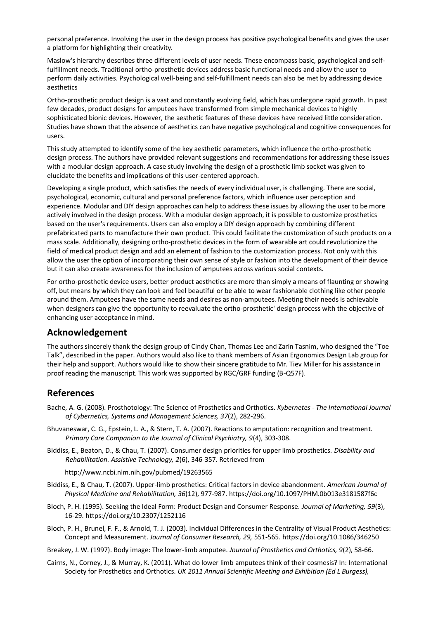personal preference. Involving the user in the design process has positive psychological benefits and gives the user a platform for highlighting their creativity.

Maslow's hierarchy describes three different levels of user needs. These encompass basic, psychological and selffulfillment needs. Traditional ortho-prosthetic devices address basic functional needs and allow the user to perform daily activities. Psychological well-being and self-fulfillment needs can also be met by addressing device aesthetics

Ortho-prosthetic product design is a vast and constantly evolving field, which has undergone rapid growth. In past few decades, product designs for amputees have transformed from simple mechanical devices to highly sophisticated bionic devices. However, the aesthetic features of these devices have received little consideration. Studies have shown that the absence of aesthetics can have negative psychological and cognitive consequences for users.

This study attempted to identify some of the key aesthetic parameters, which influence the ortho-prosthetic design process. The authors have provided relevant suggestions and recommendations for addressing these issues with a modular design approach. A case study involving the design of a prosthetic limb socket was given to elucidate the benefits and implications of this user-centered approach.

Developing a single product, which satisfies the needs of every individual user, is challenging. There are social, psychological, economic, cultural and personal preference factors, which influence user perception and experience. Modular and DIY design approaches can help to address these issues by allowing the user to be more actively involved in the design process. With a modular design approach, it is possible to customize prosthetics based on the user's requirements. Users can also employ a DIY design approach by combining different prefabricated parts to manufacture their own product. This could facilitate the customization of such products on a mass scale. Additionally, designing ortho-prosthetic devices in the form of wearable art could revolutionize the field of medical product design and add an element of fashion to the customization process. Not only with this allow the user the option of incorporating their own sense of style or fashion into the development of their device but it can also create awareness for the inclusion of amputees across various social contexts.

For ortho-prosthetic device users, better product aesthetics are more than simply a means of flaunting or showing off, but means by which they can look and feel beautiful or be able to wear fashionable clothing like other people around them. Amputees have the same needs and desires as non-amputees. Meeting their needs is achievable when designers can give the opportunity to reevaluate the ortho-prosthetic' design process with the objective of enhancing user acceptance in mind.

#### **Acknowledgement**

The authors sincerely thank the design group of Cindy Chan, Thomas Lee and Zarin Tasnim, who designed the "Toe Talk", described in the paper. Authors would also like to thank members of Asian Ergonomics Design Lab group for their help and support. Authors would like to show their sincere gratitude to Mr. Tiev Miller for his assistance in proof reading the manuscript. This work was supported by RGC/GRF funding (B-Q57F).

# **References**

- Bache, A. G. (2008). Prosthotology: The Science of Prosthetics and Orthotics. *Kybernetes - The International Journal of Cybernetics, Systems and Management Sciences, 37*(2), 282-296.
- Bhuvaneswar, C. G., Epstein, L. A., & Stern, T. A. (2007). Reactions to amputation: recognition and treatment. *Primary Care Companion to the Journal of Clinical Psychiatry, 9*(4), 303-308.
- Biddiss, E., Beaton, D., & Chau, T. (2007). Consumer design priorities for upper limb prosthetics. *Disability and Rehabilitation. Assistive Technology, 2*(6), 346-357. Retrieved from

<http://www.ncbi.nlm.nih.gov/pubmed/19263565>

- Biddiss, E., & Chau, T. (2007). Upper-limb prosthetics: Critical factors in device abandonment. *American Journal of Physical Medicine and Rehabilitation, 36*(12), 977-987.<https://doi.org/10.1097/PHM.0b013e3181587f6c>
- Bloch, P. H. (1995). Seeking the Ideal Form: Product Design and Consumer Response. *Journal of Marketing, 59*(3), 16-29.<https://doi.org/10.2307/1252116>
- Bloch, P. H., Brunel, F. F., & Arnold, T. J. (2003). Individual Differences in the Centrality of Visual Product Aesthetics: Concept and Measurement. *Journal of Consumer Research, 29,* 551-565[. https://doi.org/10.1086/346250](https://doi.org/10.1086/346250)
- Breakey, J. W. (1997). Body image: The lower-limb amputee. *Journal of Prosthetics and Orthotics, 9*(2), 58-66.
- Cairns, N., Corney, J., & Murray, K. (2011). What do lower limb amputees think of their cosmesis? In: International Society for Prosthetics and Orthotics. *UK 2011 Annual Scientific Meeting and Exhibition (Ed L Burgess),*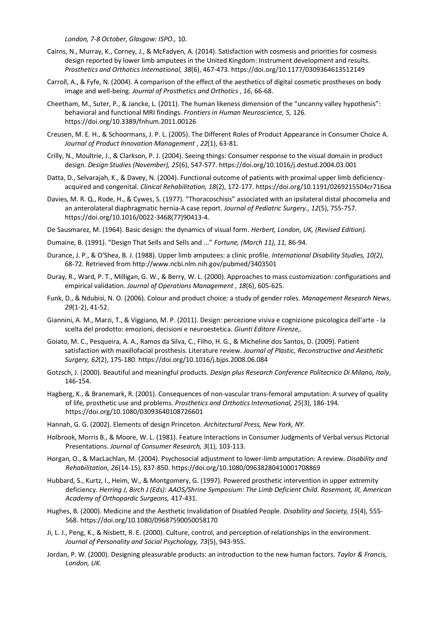*London, 7-8 October, Glasgow: ISPO.,* 10.

- Cairns, N., Murray, K., Corney, J., & McFadyen, A. (2014). Satisfaction with cosmesis and priorities for cosmesis design reported by lower limb amputees in the United Kingdom: Instrument development and results. *Prosthetics and Orthotics International, 38*(6), 467-473[. https://doi.org/10.1177/0309364613512149](https://doi.org/10.1177/0309364613512149)
- Carroll, A., & Fyfe, N. (2004). A comparison of the effect of the aesthetics of digital cosmetic prostheses on body image and well-being. *Journal of Prosthetics and Orthotics* , *16*, 66-68.
- Cheetham, M., Suter, P., & Jancke, L. (2011). The human likeness dimension of the "uncanny valley hypothesis": behavioral and functional MRI findings. *Frontiers in Human Neuroscience, 5,* 126. <https://doi.org/10.3389/fnhum.2011.00126>
- Creusen, M. E. H., & Schoormans, J. P. L. (2005). The Different Roles of Product Appearance in Consumer Choice A. *Journal of Product Innovation Management* , *22*(1), 63-81.
- Crilly, N., Moultrie, J., & Clarkson, P. J. (2004). Seeing things: Consumer response to the visual domain in product design. *Design Studies (November), 25*(6), 547-577[. https://doi.org/10.1016/j.destud.2004.03.001](https://doi.org/10.1016/j.destud.2004.03.001)
- Datta, D., Selvarajah, K., & Davey, N. (2004). Functional outcome of patients with proximal upper limb deficiencyacquired and congenital. *Clinical Rehabilitation, 18*(2), 172-177.<https://doi.org/10.1191/0269215504cr716oa>
- Davies, M. R. Q., Rode, H., & Cywes, S. (1977). "Thoracoschisis" associated with an ipsilateral distal phocomelia and an anterolateral diaphragmatic hernia-A case report. *Journal of Pediatric Surgery., 12*(5), 755-757. [https://doi.org/10.1016/0022-3468\(77\)90413-4.](https://doi.org/10.1016/0022-3468(77)90413-4)
- De Sausmarez, M. (1964). Basic design: the dynamics of visual form. *Herbert, London, UK, (Revised Edition).*
- Dumaine, B. (1991). "Design That Sells and Sells and ..." *Fortune, (March 11), 11,* 86-94.
- Durance, J. P., & O'Shea, B. J. (1988). Upper limb amputees: a clinic profile. *International Disability Studies, 10(2),* 68-72. Retrieved from<http://www.ncbi.nlm.nih.gov/pubmed/3403501>
- Duray, R., Ward, P. T., Milligan, G. W., & Berry, W. L. (2000). Approaches to mass customization: configurations and empirical validation. *Journal of Operations Management* , *18*(6), 605-625.
- Funk, D., & Ndubisi, N. O. (2006). Colour and product choice: a study of gender roles. *Management Research News*, *29*(1-2), 41-52.
- Giannini, A. M., Marzi, T., & Viggiano, M. P. (2011). Design: percezione visiva e cognizione psicologica dell'arte la scelta del prodotto: emozioni, decisioni e neuroestetica. *Giunti Editore Firenze,.*
- Goiato, M. C., Pesqueira, A. A., Ramos da Silva, C., Filho, H. G., & Micheline dos Santos, D. (2009). Patient satisfaction with maxillofacial prosthesis. Literature review. *Journal of Plastic, Reconstructive and Aesthetic Surgery, 62*(2), 175-180.<https://doi.org/10.1016/j.bjps.2008.06.084>
- Gotzsch, J. (2000). Beautiful and meaningful products. *Design plus Research Conference Politecnico Di Milano, Italy*, 146-154.
- Hagberg, K., & Branemark, R. (2001). Consequences of non-vascular trans-femoral amputation: A survey of quality of life, prosthetic use and problems. *Prosthetics and Orthotics International, 25*(3), 186-194. <https://doi.org/10.1080/03093640108726601>
- Hannah, G. G. (2002). Elements of design Princeton. *Architectural Press, New York, NY.*
- Holbrook, Morris B., & Moore, W. L. (1981). Feature Interactions in Consumer Judgments of Verbal versus Pictorial Presentations. *Journal of Consumer Research, 3*(1), 103-113.
- Horgan, O., & MacLachlan, M. (2004). Psychosocial adjustment to lower-limb amputation: A review. *Disability and Rehabilitation, 26*(14-15), 837-850[. https://doi.org/10.1080/09638280410001708869](https://doi.org/10.1080/09638280410001708869)
- Hubbard, S., Kurtz, I., Heim, W., & Montgomery, G. (1997). Powered prosthetic intervention in upper extremity deficiency. *Herring J, Birch J (Eds): AAOS/Shrine Symposium: The Limb Deficient Child. Rosemont, Ill, American Academy of Orthopardic Surgeons,* 417-431.
- Hughes, B. (2000). Medicine and the Aesthetic Invalidation of Disabled People. *Disability and Society, 15*(4), 555- 568.<https://doi.org/10.1080/09687590050058170>
- Ji, L. J., Peng, K., & Nisbett, R. E. (2000). Culture, control, and perception of relationships in the environment. *Journal of Personality and Social Psychology, 73*(5), 943-955.
- Jordan, P. W. (2000). Designing pleasurable products: an introduction to the new human factors. *Taylor & Francis, London, UK.*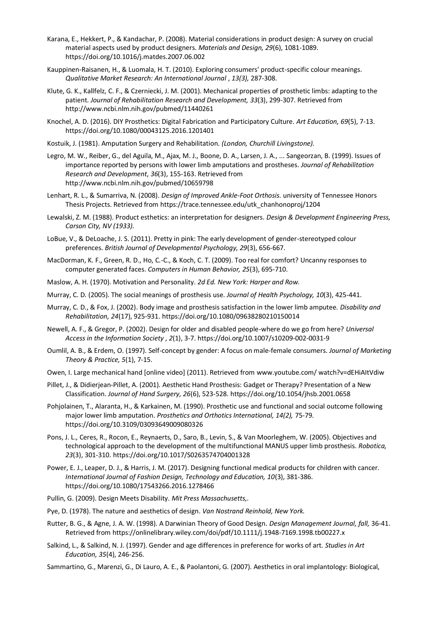- Karana, E., Hekkert, P., & Kandachar, P. (2008). Material considerations in product design: A survey on crucial material aspects used by product designers. *Materials and Design, 29*(6), 1081-1089. <https://doi.org/10.1016/j.matdes.2007.06.002>
- Kauppinen-Raisanen, H., & Luomala, H. T. (2010). Exploring consumers' product-specific colour meanings. *Qualitative Market Research: An International Journal* , *13(3),* 287-308.
- Klute, G. K., Kallfelz, C. F., & Czerniecki, J. M. (2001). Mechanical properties of prosthetic limbs: adapting to the patient. *Journal of Rehabilitation Research and Development, 33*(3), 299-307. Retrieved from <http://www.ncbi.nlm.nih.gov/pubmed/11440261>
- Knochel, A. D. (2016). DIY Prosthetics: Digital Fabrication and Participatory Culture. *Art Education, 69*(5), 7-13. <https://doi.org/10.1080/00043125.2016.1201401>
- Kostuik, J. (1981). Amputation Surgery and Rehabilitation. *(London, Churchill Livingstone).*
- Legro, M. W., Reiber, G., del Aguila, M., Ajax, M. J., Boone, D. A., Larsen, J. A., ... Sangeorzan, B. (1999). Issues of importance reported by persons with lower limb amputations and prostheses. *Journal of Rehabilitation Research and Development*, *36*(3), 155-163. Retrieved from <http://www.ncbi.nlm.nih.gov/pubmed/10659798>
- Lenhart, R. L., & Sumarriva, N. (2008). *Design of Improved Ankle-Foot Orthosis.* university of Tennessee Honors Thesis Projects. Retrieved from [https://trace.tennessee.edu/utk\\_chanhonoproj/1204](https://trace.tennessee.edu/utk_chanhonoproj/1204)
- Lewalski, Z. M. (1988). Product esthetics: an interpretation for designers. *Design & Development Engineering Press, Carson City, NV (1933).*
- LoBue, V., & DeLoache, J. S. (2011). Pretty in pink: The early development of gender-stereotyped colour preferences. *British Journal of Developmental Psychology, 29*(3), 656-667.
- MacDorman, K. F., Green, R. D., Ho, C.-C., & Koch, C. T. (2009). Too real for comfort? Uncanny responses to computer generated faces. *Computers in Human Behavior, 25*(3), 695-710.
- Maslow, A. H. (1970). Motivation and Personality. *2d Ed. New York: Harper and Row.*
- Murray, C. D. (2005). The social meanings of prosthesis use. *Journal of Health Psychology, 10*(3), 425-441.
- Murray, C. D., & Fox, J. (2002). Body image and prosthesis satisfaction in the lower limb amputee. *Disability and Rehabilitation, 24*(17), 925-931.<https://doi.org/10.1080/09638280210150014>
- Newell, A. F., & Gregor, P. (2002). Design for older and disabled people-where do we go from here? *Universal Access in the Information Society* , *2*(1), 3-7[. https://doi.org/10.1007/s10209-002-0031-9](https://doi.org/10.1007/s10209-002-0031-9)
- Oumlil, A. B., & Erdem, O. (1997). Self-concept by gender: A focus on male-female consumers. *Journal of Marketing Theory & Practice, 5*(1), 7-15.
- Owen, I. Large mechanical hand [online video] (2011). Retrieved from [www.youtube.com/](http://www.youtube.com/) watch?v=dEHiAItVdiw
- Pillet, J., & Didierjean-Pillet, A. (2001). Aesthetic Hand Prosthesis: Gadget or Therapy? Presentation of a New Classification. *Journal of Hand Surgery, 26*(6), 523-528.<https://doi.org/10.1054/jhsb.2001.0658>
- Pohjolainen, T., Alaranta, H., & Karkainen, M. (1990). Prosthetic use and functional and social outcome following major lower limb amputation. *Prosthetics and Orthotics International, 14(2),* 75-79. <https://doi.org/10.3109/03093649009080326>
- Pons, J. L., Ceres, R., Rocon, E., Reynaerts, D., Saro, B., Levin, S., & Van Moorleghem, W. (2005). Objectives and technological approach to the development of the multifunctional MANUS upper limb prosthesis. *Robotica, 23*(3), 301-310[. https://doi.org/10.1017/S0263574704001328](https://doi.org/10.1017/S0263574704001328)
- Power, E. J., Leaper, D. J., & Harris, J. M. (2017). Designing functional medical products for children with cancer. *International Journal of Fashion Design, Technology and Education, 10*(3), 381-386. <https://doi.org/10.1080/17543266.2016.1278466>
- Pullin, G. (2009). Design Meets Disability. *Mit Press Massachusetts,.*
- Pye, D. (1978). The nature and aesthetics of design. *Van Nostrand Reinhold, New York.*
- Rutter, B. G., & Agne, J. A. W. (1998). A Darwinian Theory of Good Design. *Design Management Journal, fall,* 36-41. Retrieved fro[m https://onlinelibrary.wiley.com/doi/pdf/10.1111/j.1948-7169.1998.tb00227.x](https://onlinelibrary.wiley.com/doi/pdf/10.1111/j.1948-7169.1998.tb00227.x)
- Salkind, L., & Salkind, N. J. (1997). Gender and age differences in preference for works of art. *Studies in Art Education, 35*(4), 246-256.
- Sammartino, G., Marenzi, G., Di Lauro, A. E., & Paolantoni, G. (2007). Aesthetics in oral implantology: Biological,